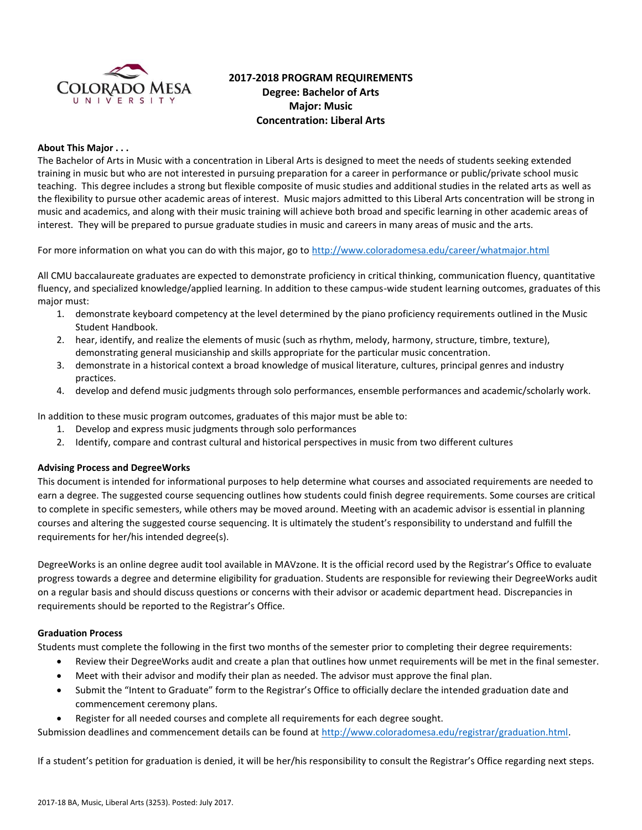

# **2017-2018 PROGRAM REQUIREMENTS Degree: Bachelor of Arts Major: Music Concentration: Liberal Arts**

### **About This Major . . .**

The Bachelor of Arts in Music with a concentration in Liberal Arts is designed to meet the needs of students seeking extended training in music but who are not interested in pursuing preparation for a career in performance or public/private school music teaching. This degree includes a strong but flexible composite of music studies and additional studies in the related arts as well as the flexibility to pursue other academic areas of interest. Music majors admitted to this Liberal Arts concentration will be strong in music and academics, and along with their music training will achieve both broad and specific learning in other academic areas of interest. They will be prepared to pursue graduate studies in music and careers in many areas of music and the arts.

For more information on what you can do with this major, go to<http://www.coloradomesa.edu/career/whatmajor.html>

All CMU baccalaureate graduates are expected to demonstrate proficiency in critical thinking, communication fluency, quantitative fluency, and specialized knowledge/applied learning. In addition to these campus-wide student learning outcomes, graduates of this major must:

- 1. demonstrate keyboard competency at the level determined by the piano proficiency requirements outlined in the Music Student Handbook.
- 2. hear, identify, and realize the elements of music (such as rhythm, melody, harmony, structure, timbre, texture), demonstrating general musicianship and skills appropriate for the particular music concentration.
- 3. demonstrate in a historical context a broad knowledge of musical literature, cultures, principal genres and industry practices.
- 4. develop and defend music judgments through solo performances, ensemble performances and academic/scholarly work.

In addition to these music program outcomes, graduates of this major must be able to:

- 1. Develop and express music judgments through solo performances
- 2. Identify, compare and contrast cultural and historical perspectives in music from two different cultures

# **Advising Process and DegreeWorks**

This document is intended for informational purposes to help determine what courses and associated requirements are needed to earn a degree. The suggested course sequencing outlines how students could finish degree requirements. Some courses are critical to complete in specific semesters, while others may be moved around. Meeting with an academic advisor is essential in planning courses and altering the suggested course sequencing. It is ultimately the student's responsibility to understand and fulfill the requirements for her/his intended degree(s).

DegreeWorks is an online degree audit tool available in MAVzone. It is the official record used by the Registrar's Office to evaluate progress towards a degree and determine eligibility for graduation. Students are responsible for reviewing their DegreeWorks audit on a regular basis and should discuss questions or concerns with their advisor or academic department head. Discrepancies in requirements should be reported to the Registrar's Office.

#### **Graduation Process**

Students must complete the following in the first two months of the semester prior to completing their degree requirements:

- Review their DegreeWorks audit and create a plan that outlines how unmet requirements will be met in the final semester.
- Meet with their advisor and modify their plan as needed. The advisor must approve the final plan.
- Submit the "Intent to Graduate" form to the Registrar's Office to officially declare the intended graduation date and commencement ceremony plans.
- Register for all needed courses and complete all requirements for each degree sought.

Submission deadlines and commencement details can be found at [http://www.coloradomesa.edu/registrar/graduation.html.](http://www.coloradomesa.edu/registrar/graduation.html)

If a student's petition for graduation is denied, it will be her/his responsibility to consult the Registrar's Office regarding next steps.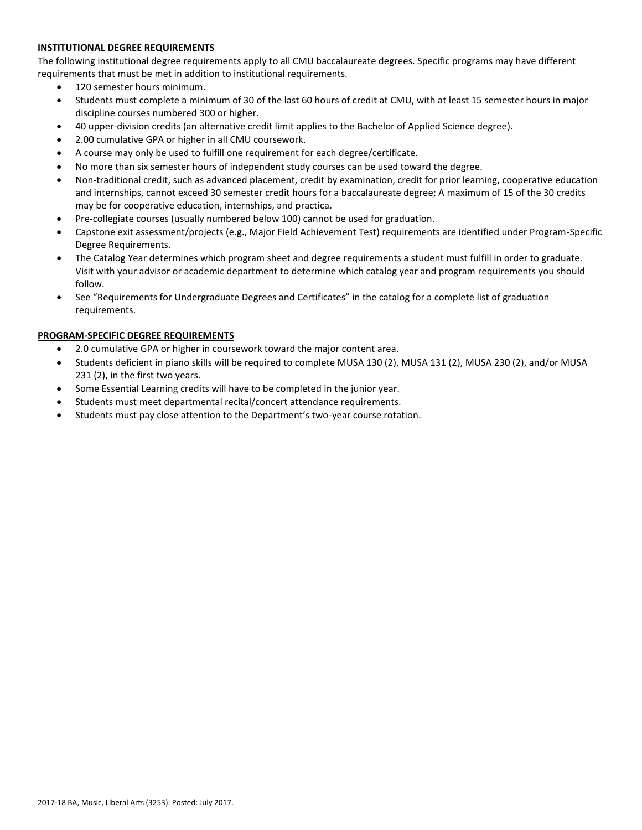# **INSTITUTIONAL DEGREE REQUIREMENTS**

The following institutional degree requirements apply to all CMU baccalaureate degrees. Specific programs may have different requirements that must be met in addition to institutional requirements.

- 120 semester hours minimum.
- Students must complete a minimum of 30 of the last 60 hours of credit at CMU, with at least 15 semester hours in major discipline courses numbered 300 or higher.
- 40 upper-division credits (an alternative credit limit applies to the Bachelor of Applied Science degree).
- 2.00 cumulative GPA or higher in all CMU coursework.
- A course may only be used to fulfill one requirement for each degree/certificate.
- No more than six semester hours of independent study courses can be used toward the degree.
- Non-traditional credit, such as advanced placement, credit by examination, credit for prior learning, cooperative education and internships, cannot exceed 30 semester credit hours for a baccalaureate degree; A maximum of 15 of the 30 credits may be for cooperative education, internships, and practica.
- Pre-collegiate courses (usually numbered below 100) cannot be used for graduation.
- Capstone exit assessment/projects (e.g., Major Field Achievement Test) requirements are identified under Program-Specific Degree Requirements.
- The Catalog Year determines which program sheet and degree requirements a student must fulfill in order to graduate. Visit with your advisor or academic department to determine which catalog year and program requirements you should follow.
- See "Requirements for Undergraduate Degrees and Certificates" in the catalog for a complete list of graduation requirements.

# **PROGRAM-SPECIFIC DEGREE REQUIREMENTS**

- 2.0 cumulative GPA or higher in coursework toward the major content area.
- Students deficient in piano skills will be required to complete MUSA 130 (2), MUSA 131 (2), MUSA 230 (2), and/or MUSA 231 (2), in the first two years.
- Some Essential Learning credits will have to be completed in the junior year.
- Students must meet departmental recital/concert attendance requirements.
- Students must pay close attention to the Department's two-year course rotation.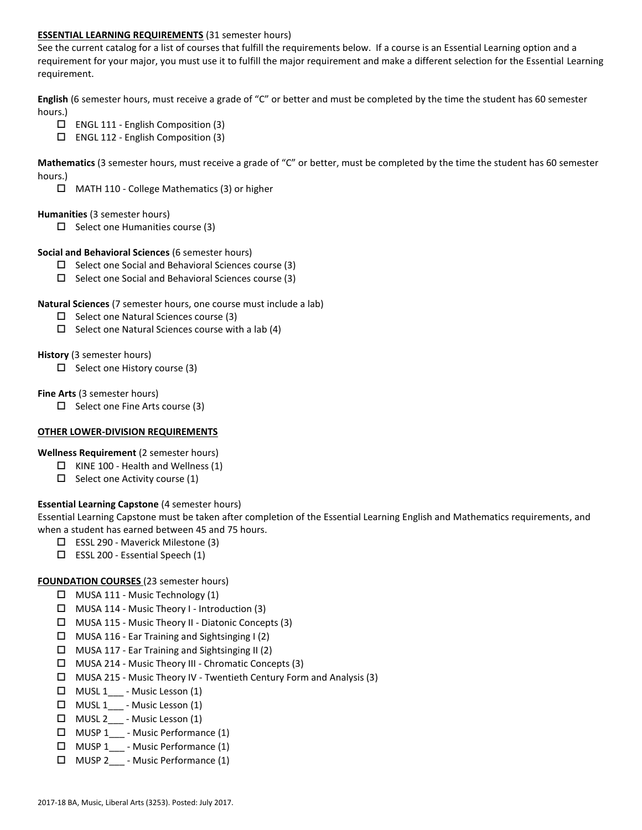### **ESSENTIAL LEARNING REQUIREMENTS** (31 semester hours)

See the current catalog for a list of courses that fulfill the requirements below. If a course is an Essential Learning option and a requirement for your major, you must use it to fulfill the major requirement and make a different selection for the Essential Learning requirement.

**English** (6 semester hours, must receive a grade of "C" or better and must be completed by the time the student has 60 semester hours.)

- $\Box$  ENGL 111 English Composition (3)
- $\Box$  ENGL 112 English Composition (3)

**Mathematics** (3 semester hours, must receive a grade of "C" or better, must be completed by the time the student has 60 semester hours.)

MATH 110 - College Mathematics (3) or higher

#### **Humanities** (3 semester hours)

 $\Box$  Select one Humanities course (3)

#### **Social and Behavioral Sciences** (6 semester hours)

- $\Box$  Select one Social and Behavioral Sciences course (3)
- $\Box$  Select one Social and Behavioral Sciences course (3)

### **Natural Sciences** (7 semester hours, one course must include a lab)

- $\square$  Select one Natural Sciences course (3)
- $\Box$  Select one Natural Sciences course with a lab (4)

### **History** (3 semester hours)

 $\Box$  Select one History course (3)

### **Fine Arts** (3 semester hours)

 $\Box$  Select one Fine Arts course (3)

#### **OTHER LOWER-DIVISION REQUIREMENTS**

**Wellness Requirement** (2 semester hours)

- $\Box$  KINE 100 Health and Wellness (1)
- $\Box$  Select one Activity course (1)

# **Essential Learning Capstone** (4 semester hours)

Essential Learning Capstone must be taken after completion of the Essential Learning English and Mathematics requirements, and when a student has earned between 45 and 75 hours.

- ESSL 290 Maverick Milestone (3)
- $\square$  ESSL 200 Essential Speech (1)

# **FOUNDATION COURSES** (23 semester hours)

- $\Box$  MUSA 111 Music Technology (1)
- $\Box$  MUSA 114 Music Theory I Introduction (3)
- MUSA 115 Music Theory II Diatonic Concepts (3)
- $\Box$  MUSA 116 Ear Training and Sightsinging I (2)
- $\Box$  MUSA 117 Ear Training and Sightsinging II (2)
- MUSA 214 Music Theory III Chromatic Concepts (3)
- MUSA 215 Music Theory IV Twentieth Century Form and Analysis (3)
- $\Box$  MUSL 1<sub>\_\_\_</sub> Music Lesson (1)
- $\Box$  MUSL 1 Music Lesson (1)
- $\Box$  MUSL 2\_\_\_ Music Lesson (1)
- $\Box$  MUSP 1 Music Performance (1)
- MUSP 1\_\_\_ Music Performance (1)
- MUSP 2\_\_\_ Music Performance (1)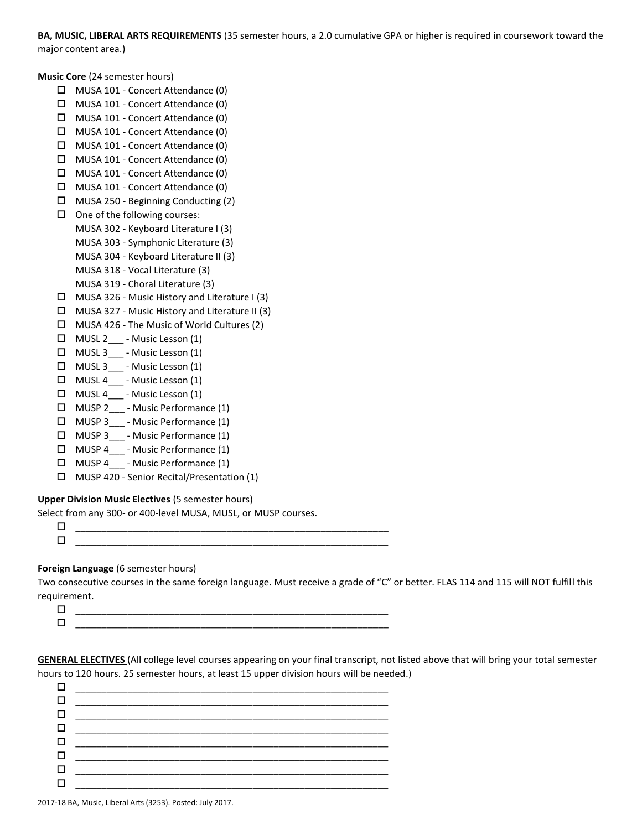# **BA, MUSIC, LIBERAL ARTS REQUIREMENTS** (35 semester hours, a 2.0 cumulative GPA or higher is required in coursework toward the

major content area.)

**Music Core** (24 semester hours)

- MUSA 101 Concert Attendance (0)
- MUSA 101 Concert Attendance (0)
- $\Box$  MUSA 101 Concert Attendance (0)
- MUSA 101 Concert Attendance (0)
- MUSA 101 Concert Attendance (0)
- MUSA 101 Concert Attendance (0)
- MUSA 101 Concert Attendance (0)
- MUSA 101 Concert Attendance (0)
- MUSA 250 Beginning Conducting (2)
- $\Box$  One of the following courses:
	- MUSA 302 Keyboard Literature I (3)
	- MUSA 303 Symphonic Literature (3)
	- MUSA 304 Keyboard Literature II (3)
	- MUSA 318 Vocal Literature (3)
		- MUSA 319 Choral Literature (3)
- MUSA 326 Music History and Literature I (3)
- $\Box$  MUSA 327 Music History and Literature II (3)
- $\Box$  MUSA 426 The Music of World Cultures (2)
- MUSL 2\_\_\_ Music Lesson (1)
- $\Box$  MUSL 3 \_\_\_ Music Lesson (1)
- $\Box$  MUSL 3<sub>\_\_\_</sub> Music Lesson (1)
- □ MUSL 4 Music Lesson (1)
- $\Box$  MUSL 4<sub>\_-</sub> Music Lesson (1)
- MUSP 2\_\_\_ Music Performance (1)
- $\Box$  MUSP 3 Music Performance (1)
- □ MUSP 3 Music Performance (1)
- MUSP 4\_\_\_ Music Performance (1)
- $\Box$  MUSP 4 Music Performance (1)
- MUSP 420 Senior Recital/Presentation (1)

# **Upper Division Music Electives** (5 semester hours)

Select from any 300- or 400-level MUSA, MUSL, or MUSP courses.

# **Foreign Language** (6 semester hours)

Two consecutive courses in the same foreign language. Must receive a grade of "C" or better. FLAS 114 and 115 will NOT fulfill this requirement.

| _____  |
|--------|
| ______ |
|        |

**GENERAL ELECTIVES** (All college level courses appearing on your final transcript, not listed above that will bring your total semester hours to 120 hours. 25 semester hours, at least 15 upper division hours will be needed.)

| <u> 1980 - Jan Samuel Barbara, margaret e</u> n 1980 eta 1980 eta 1980 eta 1980 eta 1980 eta 1980 eta 1980 eta 1980 eta     |
|-----------------------------------------------------------------------------------------------------------------------------|
| the contract of the contract of the contract of the contract of the contract of                                             |
| <u> 2000 - Jan James James Barnett, amerikan personal (</u>                                                                 |
|                                                                                                                             |
| the contract of the contract of the contract of the contract of the contract of                                             |
| <u> 1980 - Jan Alexandro Alexandro Alexandro Alexandro Alexandro Alexandro Alexandro Alexandro Alexandro Alexandro Alex</u> |
|                                                                                                                             |
|                                                                                                                             |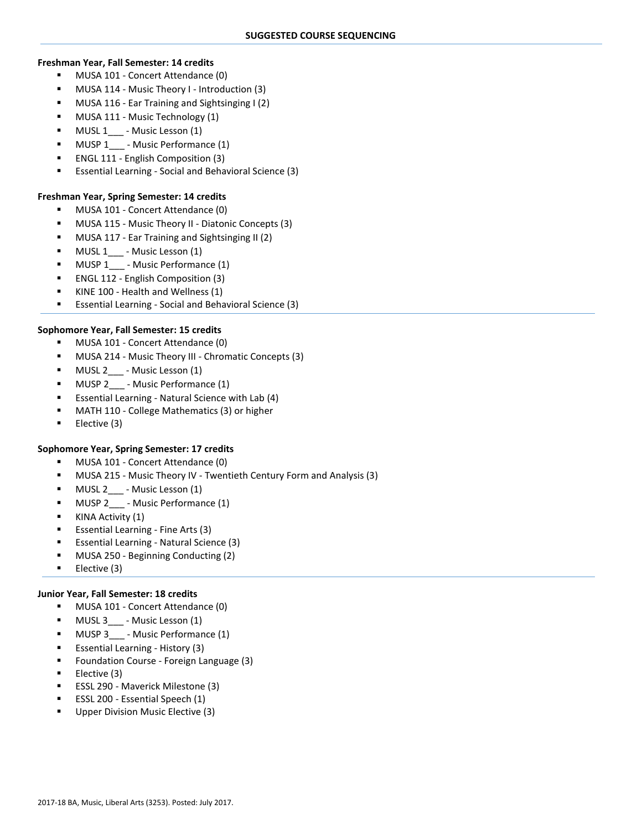#### **Freshman Year, Fall Semester: 14 credits**

- **MUSA 101 Concert Attendance (0)**
- MUSA 114 Music Theory I Introduction (3)
- MUSA 116 Ear Training and Sightsinging I (2)
- MUSA 111 Music Technology (1)
- MUSL 1\_\_\_ Music Lesson (1)
- MUSP 1 Music Performance (1)
- ENGL 111 English Composition (3)
- Essential Learning Social and Behavioral Science (3)

### **Freshman Year, Spring Semester: 14 credits**

- MUSA 101 Concert Attendance (0)
- MUSA 115 Music Theory II Diatonic Concepts (3)
- MUSA 117 Ear Training and Sightsinging II (2)
- $\blacksquare$  MUSL 1\_\_\_ Music Lesson (1)
- MUSP 1 Music Performance (1)
- ENGL 112 English Composition (3)
- KINE 100 Health and Wellness (1)
- Essential Learning Social and Behavioral Science (3)

### **Sophomore Year, Fall Semester: 15 credits**

- MUSA 101 Concert Attendance (0)
- MUSA 214 Music Theory III Chromatic Concepts (3)
- MUSL 2\_\_\_ Music Lesson (1)
- **MUSP 2** Music Performance (1)
- Essential Learning Natural Science with Lab (4)
- MATH 110 College Mathematics (3) or higher
- $\blacksquare$  Elective (3)

# **Sophomore Year, Spring Semester: 17 credits**

- MUSA 101 Concert Attendance (0)
- MUSA 215 Music Theory IV Twentieth Century Form and Analysis (3)
- **MUSL 2** Music Lesson (1)
- MUSP 2\_\_\_ Music Performance (1)
- **KINA Activity (1)**
- Essential Learning Fine Arts (3)
- Essential Learning Natural Science (3)
- MUSA 250 Beginning Conducting (2)
- $\blacksquare$  Elective (3)

# **Junior Year, Fall Semester: 18 credits**

- MUSA 101 Concert Attendance (0)
- MUSL 3\_\_\_ Music Lesson (1)
- MUSP 3 Music Performance (1)
- Essential Learning History (3)
- Foundation Course Foreign Language (3)
- Elective (3)
- ESSL 290 Maverick Milestone (3)
- ESSL 200 Essential Speech (1)
- Upper Division Music Elective (3)